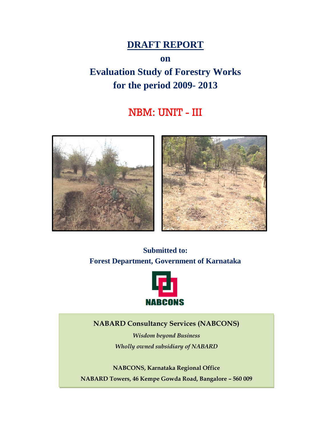## **DRAFT REPORT**

**on**

# **Evaluation Study of Forestry Works for the period 2009- 2013**

## NBM: UNIT - III



**Submitted to: Forest Department, Government of Karnataka**



**NABARD Consultancy Services (NABCONS)**

*Wisdom beyond Business Wholly owned subsidiary of NABARD*

**NABCONS, Karnataka Regional Office NABARD Towers, 46 Kempe Gowda Road, Bangalore – 560 009**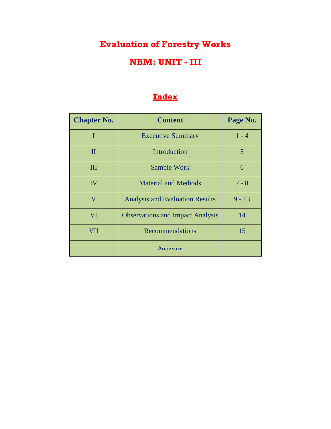# **Evaluation of Forestry Works NBM: UNIT - III**

## **Index**

| <b>Chapter No.</b> | <b>Content</b>                          | Page No. |
|--------------------|-----------------------------------------|----------|
| I                  | <b>Executive Summary</b>                | $1 - 4$  |
| $\mathbf{I}$       | Introduction                            | 5        |
| Ш                  | Sample Work                             | 6        |
| IV                 | <b>Material and Methods</b>             | $7 - 8$  |
| V                  | <b>Analysis and Evaluation Results</b>  | $9 - 13$ |
| VI                 | <b>Observations and Impact Analysis</b> | 14       |
| VII                | <b>Recommendations</b>                  | 15       |
|                    | Annexure                                |          |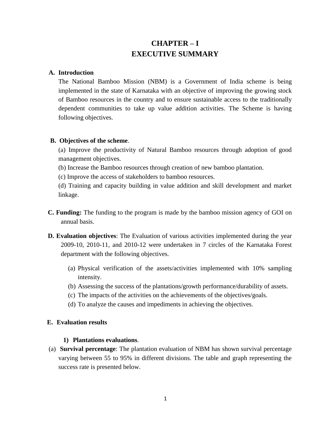### **CHAPTER – I EXECUTIVE SUMMARY**

### **A. Introduction**

The National Bamboo Mission (NBM) is a Government of India scheme is being implemented in the state of Karnataka with an objective of improving the growing stock of Bamboo resources in the country and to ensure sustainable access to the traditionally dependent communities to take up value addition activities. The Scheme is having following objectives.

#### **B. Objectives of the scheme**.

(a) Improve the productivity of Natural Bamboo resources through adoption of good management objectives.

- (b) Increase the Bamboo resources through creation of new bamboo plantation.
- (c) Improve the access of stakeholders to bamboo resources.

(d) Training and capacity building in value addition and skill development and market linkage.

- **C. Funding:** The funding to the program is made by the bamboo mission agency of GOI on annual basis.
- **D. Evaluation objectives**: The Evaluation of various activities implemented during the year 2009-10, 2010-11, and 2010-12 were undertaken in 7 circles of the Karnataka Forest department with the following objectives.
	- (a) Physical verification of the assets/activities implemented with 10% sampling intensity.
	- (b) Assessing the success of the plantations/growth performance/durability of assets.
	- (c) The impacts of the activities on the achievements of the objectives/goals.
	- (d) To analyze the causes and impediments in achieving the objectives.

#### **E. Evaluation results**

#### **1) Plantations evaluations**.

(a) **Survival percentage**: The plantation evaluation of NBM has shown survival percentage varying between 55 to 95% in different divisions. The table and graph representing the success rate is presented below.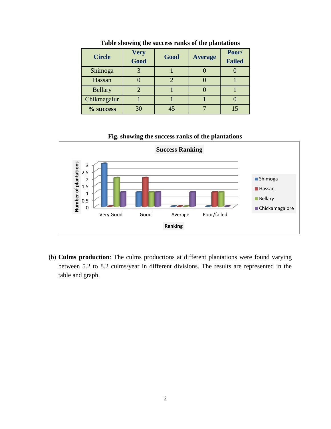| <b>Circle</b>  | <b>Very</b><br><b>Good</b> | Good | <b>Average</b> | Poor/<br><b>Failed</b> |
|----------------|----------------------------|------|----------------|------------------------|
| Shimoga        |                            |      |                |                        |
| Hassan         |                            | 2    |                |                        |
| <b>Bellary</b> |                            |      |                |                        |
| Chikmagalur    |                            |      |                |                        |
| % success      | 30                         | 45   |                |                        |

**Table showing the success ranks of the plantations**





(b) **Culms production**: The culms productions at different plantations were found varying between 5.2 to 8.2 culms/year in different divisions. The results are represented in the table and graph.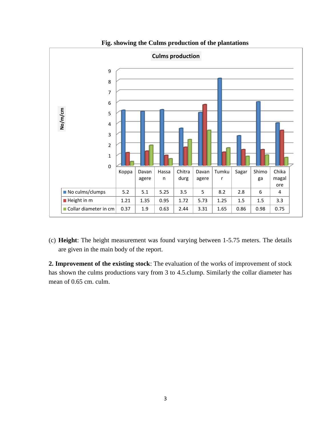

**Fig. showing the Culms production of the plantations**

(c) **Height**: The height measurement was found varying between 1-5.75 meters. The details are given in the main body of the report.

**2. Improvement of the existing stock**: The evaluation of the works of improvement of stock has shown the culms productions vary from 3 to 4.5.clump. Similarly the collar diameter has mean of 0.65 cm. culm.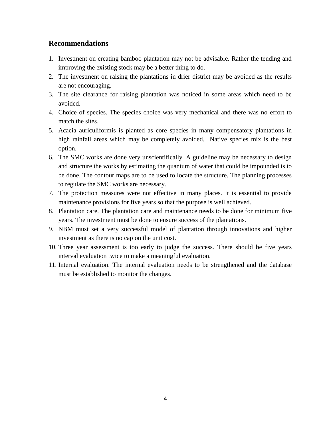### **Recommendations**

- 1. Investment on creating bamboo plantation may not be advisable. Rather the tending and improving the existing stock may be a better thing to do.
- 2. The investment on raising the plantations in drier district may be avoided as the results are not encouraging.
- 3. The site clearance for raising plantation was noticed in some areas which need to be avoided.
- 4. Choice of species. The species choice was very mechanical and there was no effort to match the sites.
- 5. Acacia auriculiformis is planted as core species in many compensatory plantations in high rainfall areas which may be completely avoided. Native species mix is the best option.
- 6. The SMC works are done very unscientifically. A guideline may be necessary to design and structure the works by estimating the quantum of water that could be impounded is to be done. The contour maps are to be used to locate the structure. The planning processes to regulate the SMC works are necessary.
- 7. The protection measures were not effective in many places. It is essential to provide maintenance provisions for five years so that the purpose is well achieved.
- 8. Plantation care. The plantation care and maintenance needs to be done for minimum five years. The investment must be done to ensure success of the plantations.
- 9. NBM must set a very successful model of plantation through innovations and higher investment as there is no cap on the unit cost.
- 10. Three year assessment is too early to judge the success. There should be five years interval evaluation twice to make a meaningful evaluation.
- 11. Internal evaluation. The internal evaluation needs to be strengthened and the database must be established to monitor the changes.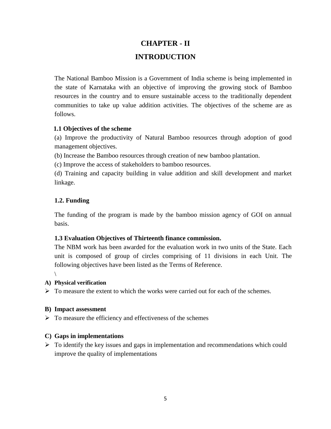## **CHAPTER - II INTRODUCTION**

The National Bamboo Mission is a Government of India scheme is being implemented in the state of Karnataka with an objective of improving the growing stock of Bamboo resources in the country and to ensure sustainable access to the traditionally dependent communities to take up value addition activities. The objectives of the scheme are as follows.

### **1.1 Objectives of the scheme**

(a) Improve the productivity of Natural Bamboo resources through adoption of good management objectives.

(b) Increase the Bamboo resources through creation of new bamboo plantation.

(c) Improve the access of stakeholders to bamboo resources.

(d) Training and capacity building in value addition and skill development and market linkage.

### **1.2. Funding**

The funding of the program is made by the bamboo mission agency of GOI on annual basis.

### **1.3 Evaluation Objectives of Thirteenth finance commission.**

The NBM work has been awarded for the evaluation work in two units of the State. Each unit is composed of group of circles comprising of 11 divisions in each Unit. The following objectives have been listed as the Terms of Reference.

 $\setminus$ 

### **A) Physical verification**

 $\triangleright$  To measure the extent to which the works were carried out for each of the schemes.

### **B) Impact assessment**

 $\triangleright$  To measure the efficiency and effectiveness of the schemes

### **C) Gaps in implementations**

 $\triangleright$  To identify the key issues and gaps in implementation and recommendations which could improve the quality of implementations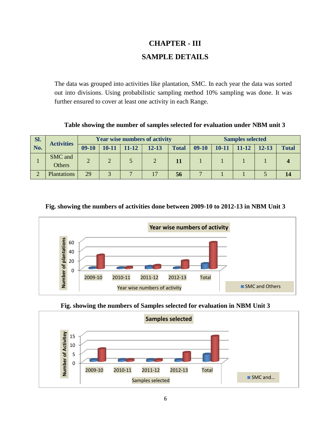### **CHAPTER - III SAMPLE DETAILS**

The data was grouped into activities like plantation, SMC. In each year the data was sorted out into divisions. Using probabilistic sampling method 10% sampling was done. It was further ensured to cover at least one activity in each Range.

**Table showing the number of samples selected for evaluation under NBM unit 3**

| SI. | <b>Year wise numbers of activity</b><br><b>Activities</b> |         |               |       |           | <b>Samples selected</b> |         |           |              |           |              |
|-----|-----------------------------------------------------------|---------|---------------|-------|-----------|-------------------------|---------|-----------|--------------|-----------|--------------|
| No. |                                                           | $09-10$ | $10 - 11$     | 11-12 | $12 - 13$ | <b>Total</b>            | $09-10$ | $10 - 11$ | <b>11-12</b> | $12 - 13$ | <b>Total</b> |
|     | SMC and<br>Others                                         |         | $\mathcal{D}$ |       | 2         |                         |         |           |              |           |              |
|     | Plantations                                               | 29      |               |       |           | 56                      |         |           |              |           |              |

### **Fig. showing the numbers of activities done between 2009-10 to 2012-13 in NBM Unit 3**



**Fig. showing the numbers of Samples selected for evaluation in NBM Unit 3**

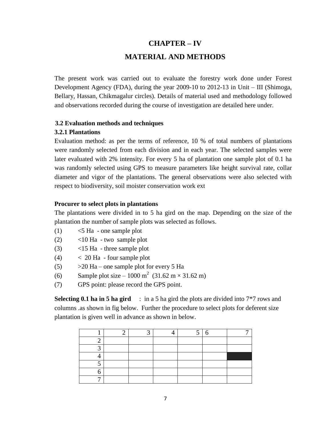## **CHAPTER – IV MATERIAL AND METHODS**

The present work was carried out to evaluate the forestry work done under Forest Development Agency (FDA), during the year 2009-10 to 2012-13 in Unit – III (Shimoga, Bellary, Hassan, Chikmagalur circles). Details of material used and methodology followed and observations recorded during the course of investigation are detailed here under.

### **3.2 Evaluation methods and techniques**

#### **3.2.1 Plantations**

Evaluation method: as per the terms of reference, 10 % of total numbers of plantations were randomly selected from each division and in each year. The selected samples were later evaluated with 2% intensity. For every 5 ha of plantation one sample plot of 0.1 ha was randomly selected using GPS to measure parameters like height survival rate, collar diameter and vigor of the plantations. The general observations were also selected with respect to biodiversity, soil moister conservation work ext

#### **Procurer to select plots in plantations**

The plantations were divided in to 5 ha gird on the map. Depending on the size of the plantation the number of sample plots was selected as follows.

- $(1)$   $\leq$  5 Ha one sample plot
- $(2)$   $\leq 10$  Ha two sample plot
- (3) <15 Ha three sample plot
- $(4)$   $<$  20 Ha four sample plot
- $(5)$   $>20$  Ha one sample plot for every 5 Ha
- (6) Sample plot size 1000 m<sup>2</sup> (31.62 m × 31.62 m)
- (7) GPS point: please record the GPS point.

**Selecting 0.1 ha in 5 ha gird** : in a 5 ha gird the plots are divided into 7<sup>\*7</sup> rows and columns .as shown in fig below. Further the procedure to select plots for deferent size plantation is given well in advance as shown in below.

| ⌒ |  |  |  |
|---|--|--|--|
|   |  |  |  |
|   |  |  |  |
|   |  |  |  |
|   |  |  |  |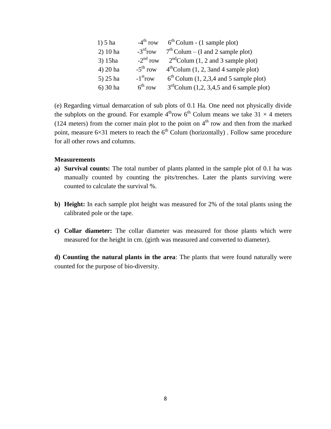| $1) 5$ ha  | $-4^{\text{th}}$ row   | $6th$ Colum - (1 sample plot)              |
|------------|------------------------|--------------------------------------------|
| $2)$ 10 ha | $-3rd row$             | $7th$ Colum – (I and 2 sample plot)        |
| 3) 15ha    | $-2nd row$             | $2nd$ Colum (1, 2 and 3 sample plot)       |
| 4) 20 ha   | $-5^{\text{th}}$ row   | $4th$ Colum (1, 2, 3 and 4 sample plot)    |
| $5)$ 25 ha | $-1$ <sup>st</sup> row | $6th$ Colum (1, 2,3,4 and 5 sample plot)   |
| $6)$ 30 ha | $6^{\text{th}}$ row    | $3rd$ Colum (1,2, 3,4,5 and 6 sample plot) |

(e) Regarding virtual demarcation of sub plots of 0.1 Ha. One need not physically divide the subplots on the ground. For example  $4^{\text{th}}$ row  $6^{\text{th}}$  Colum means we take 31  $\times$  4 meters (124 meters) from the corner main plot to the point on  $4<sup>th</sup>$  row and then from the marked point, measure  $6\times31$  meters to reach the  $6<sup>th</sup>$  Colum (horizontally) . Follow same procedure for all other rows and columns.

#### **Measurements**

- **a) Survival counts:** The total number of plants planted in the sample plot of 0.1 ha was manually counted by counting the pits/trenches. Later the plants surviving were counted to calculate the survival %.
- **b) Height:** In each sample plot height was measured for 2% of the total plants using the calibrated pole or the tape.
- **c) Collar diameter:** The collar diameter was measured for those plants which were measured for the height in cm. (girth was measured and converted to diameter).

**d) Counting the natural plants in the area**: The plants that were found naturally were counted for the purpose of bio-diversity.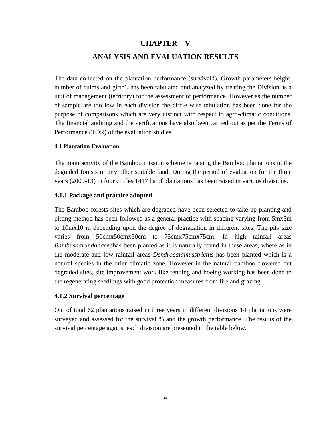## **CHAPTER – V ANALYSIS AND EVALUATION RESULTS**

The data collected on the plantation performance (survival%, Growth parameters height, number of culms and girth), has been tabulated and analyzed by treating the Division as a unit of management (territory) for the assessment of performance. However as the number of sample are too low in each division the circle wise tabulation has been done for the purpose of comparisons which are very distinct with respect to agro-climatic conditions. The financial auditing and the verifications have also been carried out as per the Terms of Performance (TOR) of the evaluation studies.

### **4.1 Plantation Evaluation**

The main activity of the Bamboo mission scheme is raising the Bamboo plantations in the degraded forests or any other suitable land. During the period of evaluation for the three years (2009-13) in four circles 1417 ha of plantations has been raised in various divisions.

### **4.1.1 Package and practice adopted**

The Bamboo forests sites which are degraded have been selected to take up planting and pitting method has been followed as a general practice with spacing varying from 5mx5m to 10mx10 m depending upon the degree of degradation in different sites. The pits size varies from 50cmx50cmx50cm to 75cmx75cmx75cm. In high rainfall areas *Bambusaarundanacea*has been planted as it is naturally found in these areas, where as in the moderate and low rainfall areas *Dendrocalamusstrictus* has been planted which is a natural species in the drier climatic zone. However in the natural bamboo flowered but degraded sites, site improvement work like tending and hoeing working has been done to the regenerating seedlings with good protection measures from fire and grazing.

### **4.1.2 Survival percentage**

Out of total 62 plantations raised in three years in different divisions 14 plantations were surveyed and assessed for the survival % and the growth performance. The results of the survival percentage against each division are presented in the table below.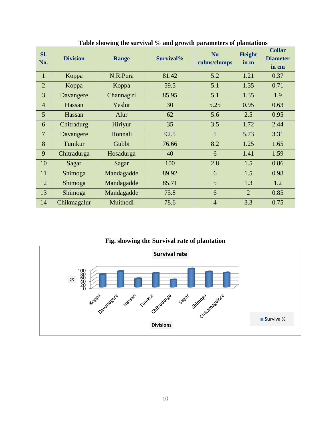| Sl.<br>No.     | <b>Division</b> | <b>Range</b> | Survival% | N <sub>o</sub><br>culms/clumps | <b>Height</b><br>in m | <b>Collar</b><br><b>Diameter</b><br>in cm |
|----------------|-----------------|--------------|-----------|--------------------------------|-----------------------|-------------------------------------------|
| $\mathbf{1}$   | Koppa           | N.R.Pura     | 81.42     | 5.2                            | 1.21                  | 0.37                                      |
| $\overline{2}$ | Koppa           | Koppa        | 59.5      | 5.1                            | 1.35                  | 0.71                                      |
| 3              | Davangere       | Channagiri   | 85.95     | 5.1                            | 1.35                  | 1.9                                       |
| $\overline{4}$ | Hassan          | Yeslur       | 30        | 5.25                           | 0.95                  | 0.63                                      |
| 5              | Hassan          | Alur         | 62        | 5.6                            | 2.5                   | 0.95                                      |
| 6              | Chitradurg      | Hiriyur      | 35        | 3.5                            | 1.72                  | 2.44                                      |
| 7              | Davangere       | Honnali      | 92.5      | 5                              | 5.73                  | 3.31                                      |
| 8              | Tumkur          | Gubbi        | 76.66     | 8.2                            | 1.25                  | 1.65                                      |
| 9              | Chitradurga     | Hosadurga    | 40        | 6                              | 1.41                  | 1.59                                      |
| 10             | Sagar           | Sagar        | 100       | 2.8                            | 1.5                   | 0.86                                      |
| 11             | Shimoga         | Mandagadde   | 89.92     | 6                              | 1.5                   | 0.98                                      |
| 12             | Shimoga         | Mandagadde   | 85.71     | 5                              | 1.3                   | 1.2                                       |
| 13             | Shimoga         | Mandagadde   | 75.8      | 6                              | $\overline{2}$        | 0.85                                      |
| 14             | Chikmagalur     | Muithodi     | 78.6      | $\overline{4}$                 | 3.3                   | 0.75                                      |

**Table showing the survival % and growth parameters of plantations**

**Fig. showing the Survival rate of plantation**

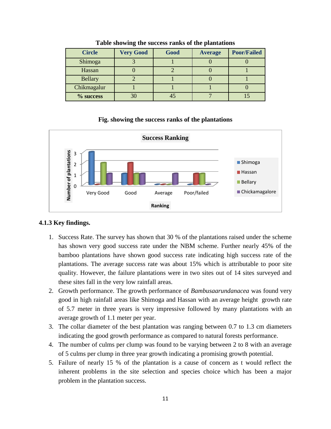| <b>Circle</b>  | <b>Very Good</b> | Good | <b>Average</b> | <b>Poor/Failed</b> |
|----------------|------------------|------|----------------|--------------------|
| Shimoga        |                  |      |                |                    |
| Hassan         |                  |      |                |                    |
| <b>Bellary</b> |                  |      |                |                    |
| Chikmagalur    |                  |      |                |                    |
| % success      | 30               |      |                |                    |

**Table showing the success ranks of the plantations**

#### **Fig. showing the success ranks of the plantations**



#### **4.1.3 Key findings.**

- 1. Success Rate. The survey has shown that 30 % of the plantations raised under the scheme has shown very good success rate under the NBM scheme. Further nearly 45% of the bamboo plantations have shown good success rate indicating high success rate of the plantations. The average success rate was about 15% which is attributable to poor site quality. However, the failure plantations were in two sites out of 14 sites surveyed and these sites fall in the very low rainfall areas.
- 2. Growth performance. The growth performance of *Bambusaarundanacea* was found very good in high rainfall areas like Shimoga and Hassan with an average height growth rate of 5.7 meter in three years is very impressive followed by many plantations with an average growth of 1.1 meter per year.
- 3. The collar diameter of the best plantation was ranging between 0.7 to 1.3 cm diameters indicating the good growth performance as compared to natural forests performance.
- 4. The number of culms per clump was found to be varying between 2 to 8 with an average of 5 culms per clump in three year growth indicating a promising growth potential.
- 5. Failure of nearly 15 % of the plantation is a cause of concern as t would reflect the inherent problems in the site selection and species choice which has been a major problem in the plantation success.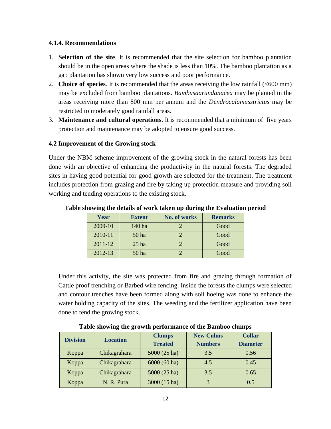### **4.1.4. Recommendations**

- 1. **Selection of the site**. It is recommended that the site selection for bamboo plantation should be in the open areas where the shade is less than 10%. The bamboo plantation as a gap plantation has shown very low success and poor performance.
- 2. **Choice of species**. It is recommended that the areas receiving the low rainfall (<600 mm) may be excluded from bamboo plantations. *Bambusaarundanacea* may be planted in the areas receiving more than 800 mm per annum and the *Dendrocalamusstrictus* may be restricted to moderately good rainfall areas.
- 3. **Maintenance and cultural operations**. It is recommended that a minimum of five years protection and maintenance may be adopted to ensure good success.

### **4.2 Improvement of the Growing stock**

Under the NBM scheme improvement of the growing stock in the natural forests has been done with an objective of enhancing the productivity in the natural forests. The degraded sites in having good potential for good growth are selected for the treatment. The treatment includes protection from grazing and fire by taking up protection measure and providing soil working and tending operations to the existing stock.

| Year    | <b>Extent</b> | No. of works | <b>Remarks</b> |
|---------|---------------|--------------|----------------|
| 2009-10 | 140 ha        |              | Good           |
| 2010-11 | 50 ha         |              | Good           |
| 2011-12 | $25$ ha       |              | Good           |
| 2012-13 | 50 ha         |              | Good           |

**Table showing the details of work taken up during the Evaluation period**

Under this activity, the site was protected from fire and grazing through formation of Cattle proof trenching or Barbed wire fencing. Inside the forests the clumps were selected and contour trenches have been formed along with soil hoeing was done to enhance the water holding capacity of the sites. The weeding and the fertilizer application have been done to tend the growing stock.

| <b>Division</b> | <b>Location</b> | <b>Clumps</b>  | <b>New Culms</b> | <b>Collar</b>   |
|-----------------|-----------------|----------------|------------------|-----------------|
|                 |                 | <b>Treated</b> | <b>Numbers</b>   | <b>Diameter</b> |
| Koppa           | Chikagrahara    | 5000 (25 ha)   | 3.5              | 0.56            |
| Koppa           | Chikagrahara    | $6000(60)$ ha) | 4.5              | 0.45            |
| Koppa           | Chikagrahara    | 5000 (25 ha)   | 3.5              | 0.65            |
| Koppa           | N. R. Pura      | 3000 (15 ha)   | 3                | 0.5             |

**Table showing the growth performance of the Bamboo clumps**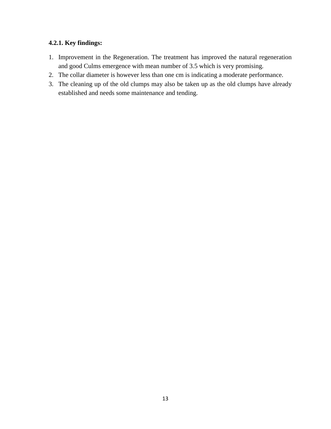### **4.2.1. Key findings:**

- 1. Improvement in the Regeneration. The treatment has improved the natural regeneration and good Culms emergence with mean number of 3.5 which is very promising.
- 2. The collar diameter is however less than one cm is indicating a moderate performance.
- 3. The cleaning up of the old clumps may also be taken up as the old clumps have already established and needs some maintenance and tending.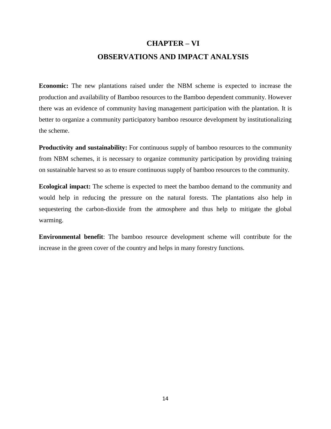## **CHAPTER – VI OBSERVATIONS AND IMPACT ANALYSIS**

**Economic:** The new plantations raised under the NBM scheme is expected to increase the production and availability of Bamboo resources to the Bamboo dependent community. However there was an evidence of community having management participation with the plantation. It is better to organize a community participatory bamboo resource development by institutionalizing the scheme.

**Productivity and sustainability:** For continuous supply of bamboo resources to the community from NBM schemes, it is necessary to organize community participation by providing training on sustainable harvest so as to ensure continuous supply of bamboo resources to the community.

**Ecological impact:** The scheme is expected to meet the bamboo demand to the community and would help in reducing the pressure on the natural forests. The plantations also help in sequestering the carbon-dioxide from the atmosphere and thus help to mitigate the global warming.

**Environmental benefit**: The bamboo resource development scheme will contribute for the increase in the green cover of the country and helps in many forestry functions.